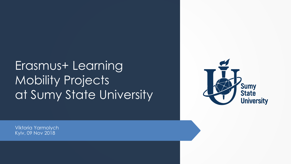# Erasmus+ Learning Mobility Projects at Sumy State University



Viktoria Yarmolych Kyiv, 09 Nov 2018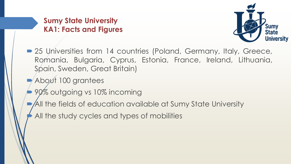### **Sumy State University KA1: Facts and Figures**



- 25 Universities from 14 countries (Poland, Germany, Italy, Greece, Romania, Bulgaria, Cyprus, Estonia, France, Ireland, Lithuania, Spain, Sweden, Great Britain)
- About 100 grantees
- 90% outgoing vs 10% incoming
- All the fields of education available at Sumy State University
- All the study cycles and types of mobilities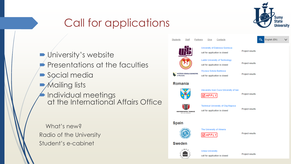## Call for applications

**D** University's website Presentations at the faculties Social media **Mailing lists**  $\blacktriangle$  Individual meetings at the International Affairs Office

What's new? Radio of the University Student's e-cabinet

|                                                 |                                                                              |                 | <b>Sumy</b><br><b>State</b> | <b>University</b> |
|-------------------------------------------------|------------------------------------------------------------------------------|-----------------|-----------------------------|-------------------|
| Students<br><b>Staff</b><br>Partners            | Contacts<br>Give                                                             |                 | English (EN)<br>Q           |                   |
|                                                 | University of Dabrowa Gornicza<br>call for application is closed             | Project results |                             |                   |
|                                                 | <b>Lublin University of Technology</b><br>call for application is closed     | Project results |                             |                   |
| <b>WYŻSZA SZKOŁA BANKOWA</b><br><b>Poznaniu</b> | Wyzsza Szkola Bankowa<br>call for application is closed                      | Project results |                             |                   |
| Romania                                         |                                                                              |                 |                             |                   |
|                                                 | Alexandru Ioan Cuza University of lasi<br><b>MAPPL</b>                       | Project results |                             |                   |
| UNIVERSITATEA TEHNICÁ<br><b>DIN CLUJ-NAPOCA</b> | <b>Technical University of Cluj-Napoca</b><br>call for application is closed | Project results |                             |                   |
| <b>Spain</b>                                    |                                                                              |                 |                             |                   |
|                                                 | The University of Almeria<br>APPI                                            | Project results |                             |                   |
| <b>Sweden</b>                                   |                                                                              |                 |                             |                   |
| $\Lambda$ M E                                   | <b>Umea University</b><br>call for application is closed                     | Project results |                             |                   |
|                                                 |                                                                              |                 |                             |                   |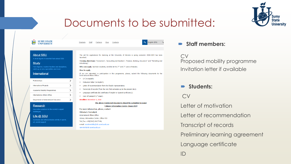

### Documents to be submitted:

**SUMY STATE**<br>UNIVERSITY JŸ

Students **Staff** Partners Give Contacts **Q** English (EN)

### **Staff members:**

CV Proposed mobility programme Invitation letter if available

### **Students:**

CV

Letter of motivation

Letter of recommendation

Transcript of records

Preliminary learning agreement

Language certificate

ID

#### **About SSU**

A short digest of essential facts about SSU

#### **Study**

Find degrees, explore faculties and disciplines, catch up on new specialities and more

#### International

| Partnerships                          |  |
|---------------------------------------|--|
| <b>International Projects</b>         |  |
| <b>Academic Mobility Programmes</b>   |  |
| <b>International Affairs Office</b>   |  |
| Denartment of International Education |  |

#### **Research**

Innovation solutions to the society's urgent challenges

#### Life @ SSU

Curricular and extracurricular activity in sports. art, social support

The call for applications for studying at the University of Almeria in spring semester 2018-2019 has been launched.

Training directions: "Economics", "Accounting and taxation", "Finance, Banking, Insurance" and "Marketing and Advertising".

Who can apply: bachelor students, enrolled at the 2<sup>nd</sup> and 3<sup>rd</sup> years of studies.

#### How to apply

If you are interested in participation in this programme, please, submit the following documents to the **International Affairs Office:** 

- CV (in English);
- Motivation letter (in English):
- Letter of recommendation from the faculty representative;
- Transcript of records (from the very first semester up to the present day);
- Language certificate (B1 certificate of English or Spanish proficiency):
- Copy of passport (1st page).
- Deadline: November 9, 2018

#### The above mentioned documents should be submitted in paper (Library Information Center, Room 410)

For more information, please, contact: Viktoria I. Yarmolych **International Affairs Office** Library-Information Center, Office 410 Tel./Fax: +38(0542) 68-77-84: e-mail: academobility@dir.sumdu.edu.ua iarmolich@dir.sumdu.edu.ua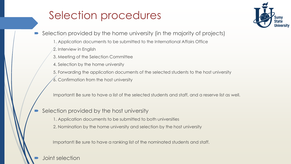## Selection procedures



- Selection provided by the home university (in the majority of projects)
	- 1. Application documents to be submitted to the International Affairs Office
	- 2. Interview in English
	- 3. Meeting of the Selection Committee
	- 4. Selection by the home university
	- 5. Forwarding the application documents of the selected students to the host university
	- 6. Confirmation from the host university

Important! Be sure to have a list of the selected students and staff, and a reserve list as well.

- Selection provided by the host university
	- 1. Application documents to be submitted to both universities
	- 2. Nomination by the home university and selection by the host university

Important! Be sure to have a ranking list of the nominated students and staff.

Joint selection